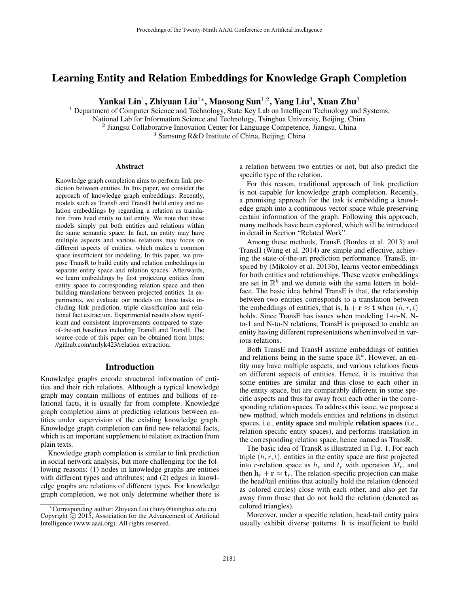# Learning Entity and Relation Embeddings for Knowledge Graph Completion

Yankai Lin $^1$ , Zhiyuan Liu $^{1*}$ , Maosong Sun $^{1,2}$ , Yang Liu $^3$ , Xuan Zhu $^3$ 

<sup>1</sup> Department of Computer Science and Technology, State Key Lab on Intelligent Technology and Systems, National Lab for Information Science and Technology, Tsinghua University, Beijing, China <sup>2</sup> Jiangsu Collaborative Innovation Center for Language Competence, Jiangsu, China <sup>3</sup> Samsung R&D Institute of China, Beijing, China

#### Abstract

Knowledge graph completion aims to perform link prediction between entities. In this paper, we consider the approach of knowledge graph embeddings. Recently, models such as TransE and TransH build entity and relation embeddings by regarding a relation as translation from head entity to tail entity. We note that these models simply put both entities and relations within the same semantic space. In fact, an entity may have multiple aspects and various relations may focus on different aspects of entities, which makes a common space insufficient for modeling. In this paper, we propose TransR to build entity and relation embeddings in separate entity space and relation spaces. Afterwards, we learn embeddings by first projecting entities from entity space to corresponding relation space and then building translations between projected entities. In experiments, we evaluate our models on three tasks including link prediction, triple classification and relational fact extraction. Experimental results show significant and consistent improvements compared to stateof-the-art baselines including TransE and TransH. The source code of this paper can be obtained from https: //github.com/mrlyk423/relation extraction.

#### Introduction

Knowledge graphs encode structured information of entities and their rich relations. Although a typical knowledge graph may contain millions of entities and billions of relational facts, it is usually far from complete. Knowledge graph completion aims at predicting relations between entities under supervision of the existing knowledge graph. Knowledge graph completion can find new relational facts, which is an important supplement to relation extraction from plain texts.

Knowledge graph completion is similar to link prediction in social network analysis, but more challenging for the following reasons: (1) nodes in knowledge graphs are entities with different types and attributes; and (2) edges in knowledge graphs are relations of different types. For knowledge graph completion, we not only determine whether there is

a relation between two entities or not, but also predict the specific type of the relation.

For this reason, traditional approach of link prediction is not capable for knowledge graph completion. Recently, a promising approach for the task is embedding a knowledge graph into a continuous vector space while preserving certain information of the graph. Following this approach, many methods have been explored, which will be introduced in detail in Section "Related Work".

Among these methods, TransE (Bordes et al. 2013) and TransH (Wang et al. 2014) are simple and effective, achieving the state-of-the-art prediction performance. TransE, inspired by (Mikolov et al. 2013b), learns vector embeddings for both entities and relationships. These vector embeddings are set in  $\mathbb{R}^k$  and we denote with the same letters in boldface. The basic idea behind TransE is that, the relationship between two entities corresponds to a translation between the embeddings of entities, that is,  $\mathbf{h} + \mathbf{r} \approx \mathbf{t}$  when  $(h, r, t)$ holds. Since TransE has issues when modeling 1-to-N, Nto-1 and N-to-N relations, TransH is proposed to enable an entity having different representations when involved in various relations.

Both TransE and TransH assume embeddings of entities and relations being in the same space  $\mathbb{R}^k$ . However, an entity may have multiple aspects, and various relations focus on different aspects of entities. Hence, it is intuitive that some entities are similar and thus close to each other in the entity space, but are comparably different in some specific aspects and thus far away from each other in the corresponding relation spaces. To address this issue, we propose a new method, which models entities and relations in distinct spaces, i.e., entity space and multiple relation spaces (i.e., relation-specific entity spaces), and performs translation in the corresponding relation space, hence named as TransR.

The basic idea of TransR is illustrated in Fig. 1. For each triple  $(h, r, t)$ , entities in the entity space are first projected into r-relation space as  $h_r$  and  $t_r$  with operation  $M_r$ , and then  $h_r + r \approx t_r$ . The relation-specific projection can make the head/tail entities that actually hold the relation (denoted as colored circles) close with each other, and also get far away from those that do not hold the relation (denoted as colored triangles).

Moreover, under a specific relation, head-tail entity pairs usually exhibit diverse patterns. It is insufficient to build

<sup>∗</sup>Corresponding author: Zhiyuan Liu (liuzy@tsinghua.edu.cn). Copyright  $\overline{c}$  2015, Association for the Advancement of Artificial Intelligence (www.aaai.org). All rights reserved.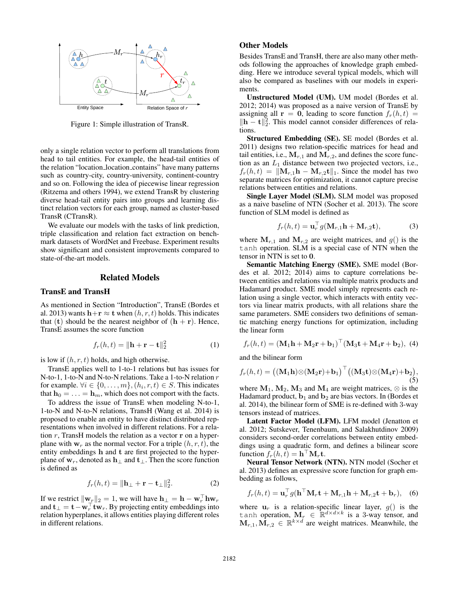

Figure 1: Simple illustration of TransR.

only a single relation vector to perform all translations from head to tail entities. For example, the head-tail entities of the relation "location location contains" have many patterns such as country-city, country-university, continent-country and so on. Following the idea of piecewise linear regression (Ritzema and others 1994), we extend TransR by clustering diverse head-tail entity pairs into groups and learning distinct relation vectors for each group, named as cluster-based TransR (CTransR).

We evaluate our models with the tasks of link prediction, triple classification and relation fact extraction on benchmark datasets of WordNet and Freebase. Experiment results show significant and consistent improvements compared to state-of-the-art models.

#### Related Models

### TransE and TransH

As mentioned in Section "Introduction", TransE (Bordes et al. 2013) wants  $\mathbf{h}+\mathbf{r} \approx \mathbf{t}$  when  $(h, r, t)$  holds. This indicates that (t) should be the nearest neighbor of  $(h + r)$ . Hence, TransE assumes the score function

$$
f_r(h,t) = \|\mathbf{h} + \mathbf{r} - \mathbf{t}\|_2^2 \tag{1}
$$

is low if  $(h, r, t)$  holds, and high otherwise.

TransE applies well to 1-to-1 relations but has issues for N-to-1, 1-to-N and N-to-N relations. Take a 1-to-N relation r for example.  $\forall i \in \{0, \ldots, m\}, (h_i, r, t) \in S$ . This indicates that  $\mathbf{h}_0 = \ldots = \mathbf{h}_m$ , which does not comport with the facts.

To address the issue of TransE when modeling N-to-1, 1-to-N and N-to-N relations, TransH (Wang et al. 2014) is proposed to enable an entity to have distinct distributed representations when involved in different relations. For a relation  $r$ , TransH models the relation as a vector  $r$  on a hyperplane with  $w_r$  as the normal vector. For a triple  $(h, r, t)$ , the entity embeddings h and t are first projected to the hyperplane of  $w_r$ , denoted as  $h_{\perp}$  and  $t_{\perp}$ . Then the score function is defined as

$$
f_r(h,t) = \|\mathbf{h}_\perp + \mathbf{r} - \mathbf{t}_\perp\|_2^2. \tag{2}
$$

If we restrict  $\|\mathbf{w}_r\|_2 = 1$ , we will have  $\mathbf{h}_\perp = \mathbf{h} - \mathbf{w}_r^\top \mathbf{h} \mathbf{w}_r$ and  $\mathbf{t}_{\perp} = \mathbf{t} - \mathbf{w}_r^{\top} \mathbf{t} \mathbf{w}_r$ . By projecting entity embeddings into relation hyperplanes, it allows entities playing different roles in different relations.

## Other Models

Besides TransE and TransH, there are also many other methods following the approaches of knowledge graph embedding. Here we introduce several typical models, which will also be compared as baselines with our models in experiments.

Unstructured Model (UM). UM model (Bordes et al. 2012; 2014) was proposed as a naive version of TransE by assigning all  $\mathbf{r} = \mathbf{0}$ , leading to score function  $f_r(h, t) =$  $\|\mathbf{h} - \mathbf{t}\|_2^2$ . This model cannot consider differences of relations.

Structured Embedding (SE). SE model (Bordes et al. 2011) designs two relation-specific matrices for head and tail entities, i.e.,  $M_{r,1}$  and  $M_{r,2}$ , and defines the score function as an  $L_1$  distance between two projected vectors, i.e.,  $f_r(h, t) = ||\mathbf{M}_{r,1}\mathbf{h} - \mathbf{M}_{r,2}\mathbf{t}||_1$ . Since the model has two separate matrices for optimization, it cannot capture precise relations between entities and relations.

Single Layer Model (SLM). SLM model was proposed as a naive baseline of NTN (Socher et al. 2013). The score function of SLM model is defined as

$$
f_r(h,t) = \mathbf{u}_r^\top g(\mathbf{M}_{r,1}\mathbf{h} + \mathbf{M}_{r,2}\mathbf{t}),\tag{3}
$$

where  $M_{r,1}$  and  $M_{r,2}$  are weight matrices, and  $g()$  is the tanh operation. SLM is a special case of NTN when the tensor in NTN is set to 0.

Semantic Matching Energy (SME). SME model (Bordes et al. 2012; 2014) aims to capture correlations between entities and relations via multiple matrix products and Hadamard product. SME model simply represents each relation using a single vector, which interacts with entity vectors via linear matrix products, with all relations share the same parameters. SME considers two definitions of semantic matching energy functions for optimization, including the linear form

$$
f_r(h,t) = (\mathbf{M}_1 \mathbf{h} + \mathbf{M}_2 \mathbf{r} + \mathbf{b}_1)^{\top} (\mathbf{M}_3 \mathbf{t} + \mathbf{M}_4 \mathbf{r} + \mathbf{b}_2), \tag{4}
$$

and the bilinear form

$$
f_r(h,t) = ((\mathbf{M}_1 \mathbf{h}) \otimes (\mathbf{M}_2 \mathbf{r}) + \mathbf{b}_1)^{\top} ((\mathbf{M}_3 \mathbf{t}) \otimes (\mathbf{M}_4 \mathbf{r}) + \mathbf{b}_2),
$$
  
(5)

where  $M_1$ ,  $M_2$ ,  $M_3$  and  $M_4$  are weight matrices,  $\otimes$  is the Hadamard product,  $\mathbf{b}_1$  and  $\mathbf{b}_2$  are bias vectors. In (Bordes et al. 2014), the bilinear form of SME is re-defined with 3-way tensors instead of matrices.

Latent Factor Model (LFM). LFM model (Jenatton et al. 2012; Sutskever, Tenenbaum, and Salakhutdinov 2009) considers second-order correlations between entity embeddings using a quadratic form, and defines a bilinear score function  $f_r(h, \tilde{t}) = \mathbf{h}^\top \mathbf{M}_r \mathbf{t}$ .

Neural Tensor Network (NTN). NTN model (Socher et al. 2013) defines an expressive score function for graph embedding as follows,

$$
f_r(h,t) = \mathbf{u}_r^\top g(\mathbf{h}^\top \mathbf{M}_r \mathbf{t} + \mathbf{M}_{r,1} \mathbf{h} + \mathbf{M}_{r,2} \mathbf{t} + \mathbf{b}_r), \quad (6)
$$

where  $\mathbf{u}_r$  is a relation-specific linear layer,  $g()$  is the tanh operation,  $\mathbf{M}_r \in \mathbb{R}^{d \times d \times k}$  is a 3-way tensor, and  $M_{r,1}, \vec{M}_{r,2} \in \mathbb{R}^{k \times d}$  are weight matrices. Meanwhile, the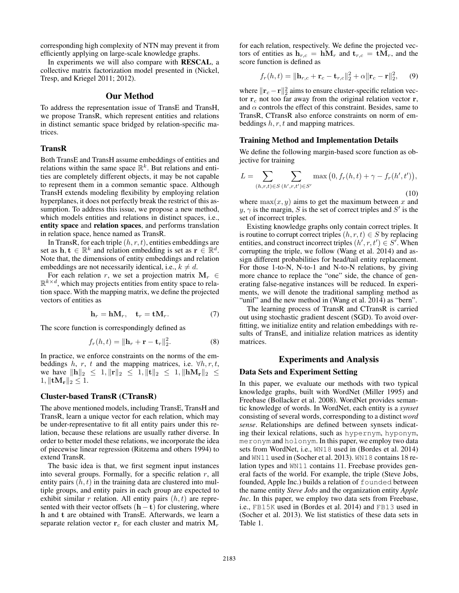corresponding high complexity of NTN may prevent it from efficiently applying on large-scale knowledge graphs.

In experiments we will also compare with RESCAL, a collective matrix factorization model presented in (Nickel, Tresp, and Kriegel 2011; 2012).

### Our Method

To address the representation issue of TransE and TransH, we propose TransR, which represent entities and relations in distinct semantic space bridged by relation-specific matrices.

### TransR

Both TransE and TransH assume embeddings of entities and relations within the same space  $\mathbb{R}^k$ . But relations and entities are completely different objects, it may be not capable to represent them in a common semantic space. Although TransH extends modeling flexibility by employing relation hyperplanes, it does not perfectly break the restrict of this assumption. To address this issue, we propose a new method, which models entities and relations in distinct spaces, *i.e.*, entity space and relation spaces, and performs translation in relation space, hence named as TransR.

In TransR, for each triple  $(h, r, t)$ , entities embeddings are set as  $\mathbf{h}, \mathbf{t} \in \mathbb{R}^k$  and relation embedding is set as  $\mathbf{r} \in \mathbb{R}^d$ . Note that, the dimensions of entity embeddings and relation embeddings are not necessarily identical, i.e.,  $k \neq d$ .

For each relation r, we set a projection matrix  $M_r \in$  $\mathbb{R}^{k \times d}$ , which may projects entities from entity space to relation space. With the mapping matrix, we define the projected vectors of entities as

$$
\mathbf{h}_r = \mathbf{h}\mathbf{M}_r, \quad \mathbf{t}_r = \mathbf{t}\mathbf{M}_r. \tag{7}
$$

The score function is correspondingly defined as

$$
f_r(h,t) = \|\mathbf{h}_r + \mathbf{r} - \mathbf{t}_r\|_2^2.
$$
 (8)

In practice, we enforce constraints on the norms of the embeddings h, r, t and the mapping matrices, i.e.  $\forall h, r, t$ , we have  $\|\mathbf{h}\|_2 \leq 1, \|\mathbf{r}\|_2 \leq 1, \|\mathbf{t}\|_2 \leq 1, \|\mathbf{h}\mathbf{M}_{\mathbf{r}}\|_2 \leq$  $1, \|\mathbf{t}\mathbf{M}_{\mathbf{r}}\|_2 \leq 1.$ 

#### Cluster-based TransR (CTransR)

The above mentioned models, including TransE, TransH and TransR, learn a unique vector for each relation, which may be under-representative to fit all entity pairs under this relation, because these relations are usually rather diverse. In order to better model these relations, we incorporate the idea of piecewise linear regression (Ritzema and others 1994) to extend TransR.

The basic idea is that, we first segment input instances into several groups. Formally, for a specific relation  $r$ , all entity pairs  $(h, t)$  in the training data are clustered into multiple groups, and entity pairs in each group are expected to exhibit similar r relation. All entity pairs  $(h, t)$  are represented with their vector offsets  $(h - t)$  for clustering, where h and t are obtained with TransE. Afterwards, we learn a separate relation vector  $r_c$  for each cluster and matrix  $M_r$ 

for each relation, respectively. We define the projected vectors of entities as  $h_{r,c} = hM_r$  and  $t_{r,c} = tM_r$ , and the score function is defined as

$$
f_r(h,t) = ||\mathbf{h}_{r,c} + \mathbf{r}_c - \mathbf{t}_{r,c}||_2^2 + \alpha ||\mathbf{r}_c - \mathbf{r}||_2^2, \qquad (9)
$$

where  $\|\mathbf{r}_c - \mathbf{r}\|_2^2$  aims to ensure cluster-specific relation vector  $r_c$  not too far away from the original relation vector  $r$ , and  $\alpha$  controls the effect of this constraint. Besides, same to TransR, CTransR also enforce constraints on norm of embeddings  $h, r, t$  and mapping matrices.

#### Training Method and Implementation Details

We define the following margin-based score function as objective for training

$$
L = \sum_{(h,r,t)\in S} \sum_{(h',r,t')\in S'} \max(0, f_r(h,t) + \gamma - f_r(h',t')),
$$
\n(10)

where  $\max(x, y)$  aims to get the maximum between x and  $y, \gamma$  is the margin, S is the set of correct triples and S' is the set of incorrect triples.

Existing knowledge graphs only contain correct triples. It is routine to corrupt correct triples  $(h, r, t) \in S$  by replacing entities, and construct incorrect triples  $(h', r, t') \in S'$ . When corrupting the triple, we follow (Wang et al. 2014) and assign different probabilities for head/tail entity replacement. For those 1-to-N, N-to-1 and N-to-N relations, by giving more chance to replace the "one" side, the chance of generating false-negative instances will be reduced. In experiments, we will denote the traditional sampling method as "unif" and the new method in (Wang et al. 2014) as "bern".

The learning process of TransR and CTransR is carried out using stochastic gradient descent (SGD). To avoid overfitting, we initialize entity and relation embeddings with results of TransE, and initialize relation matrices as identity matrices.

#### Experiments and Analysis

#### Data Sets and Experiment Setting

In this paper, we evaluate our methods with two typical knowledge graphs, built with WordNet (Miller 1995) and Freebase (Bollacker et al. 2008). WordNet provides semantic knowledge of words. In WordNet, each entity is a *synset* consisting of several words, corresponding to a distinct *word sense*. Relationships are defined between synsets indicating their lexical relations, such as hypernym, hyponym, meronym and holonym. In this paper, we employ two data sets from WordNet, i.e., WN18 used in (Bordes et al. 2014) and WN11 used in (Socher et al. 2013). WN18 contains 18 relation types and WN11 contains 11. Freebase provides general facts of the world. For example, the triple (Steve Jobs, founded, Apple Inc.) builds a relation of founded between the name entity *Steve Jobs* and the organization entity *Apple Inc*. In this paper, we employ two data sets from Freebase, i.e., FB15K used in (Bordes et al. 2014) and FB13 used in (Socher et al. 2013). We list statistics of these data sets in Table 1.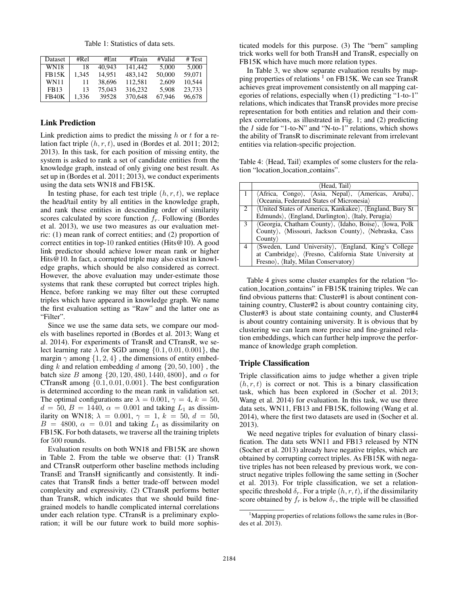Table 1: Statistics of data sets.

| Dataset      | #Rel  | #Ent   | #Train  | #Valid | # Test |
|--------------|-------|--------|---------|--------|--------|
| <b>WN18</b>  | 18    | 40.943 | 141.442 | 5.000  | 5.000  |
| <b>FB15K</b> | 1.345 | 14.951 | 483.142 | 50,000 | 59.071 |
| <b>WN11</b>  | 11    | 38.696 | 112.581 | 2.609  | 10.544 |
| FB13         | 13    | 75,043 | 316,232 | 5.908  | 23,733 |
| FB40K        | 1.336 | 39528  | 370.648 | 67.946 | 96,678 |

## Link Prediction

Link prediction aims to predict the missing  $h$  or  $t$  for a relation fact triple  $(h, r, t)$ , used in (Bordes et al. 2011; 2012; 2013). In this task, for each position of missing entity, the system is asked to rank a set of candidate entities from the knowledge graph, instead of only giving one best result. As set up in (Bordes et al. 2011; 2013), we conduct experiments using the data sets WN18 and FB15K.

In testing phase, for each test triple  $(h, r, t)$ , we replace the head/tail entity by all entities in the knowledge graph, and rank these entities in descending order of similarity scores calculated by score function  $f<sub>r</sub>$ . Following (Bordes et al. 2013), we use two measures as our evaluation metric: (1) mean rank of correct entities; and (2) proportion of correct entities in top-10 ranked entities (Hits@10). A good link predictor should achieve lower mean rank or higher Hits@10. In fact, a corrupted triple may also exist in knowledge graphs, which should be also considered as correct. However, the above evaluation may under-estimate those systems that rank these corrupted but correct triples high. Hence, before ranking we may filter out these corrupted triples which have appeared in knowledge graph. We name the first evaluation setting as "Raw" and the latter one as "Filter".

Since we use the same data sets, we compare our models with baselines reported in (Bordes et al. 2013; Wang et al. 2014). For experiments of TransR and CTransR, we select learning rate  $\lambda$  for SGD among  $\{0.1, 0.01, 0.001\}$ , the margin  $\gamma$  among  $\{1, 2, 4\}$ , the dimensions of entity embedding  $k$  and relation embedding  $d$  among  $\{20, 50, 100\}$ , the batch size B among  $\{20, 120, 480, 1440, 4800\}$ , and  $\alpha$  for CTransR among {0.1, 0.01, 0.001}. The best configuration is determined according to the mean rank in validation set. The optimal configurations are  $\lambda = 0.001$ ,  $\gamma = 4$ ,  $k = 50$ ,  $d = 50, B = 1440, \alpha = 0.001$  and taking  $L_1$  as dissimilarity on WN18;  $\lambda = 0.001$ ,  $\gamma = 1$ ,  $k = 50$ ,  $d = 50$ ,  $B = 4800$ ,  $\alpha = 0.01$  and taking  $L_1$  as dissimilarity on FB15K. For both datasets, we traverse all the training triplets for 500 rounds.

Evaluation results on both WN18 and FB15K are shown in Table 2. From the table we observe that: (1) TransR and CTransR outperform other baseline methods including TransE and TransH significantly and consistently. It indicates that TransR finds a better trade-off between model complexity and expressivity. (2) CTransR performs better than TransR, which indicates that we should build finegrained models to handle complicated internal correlations under each relation type. CTransR is a preliminary exploration; it will be our future work to build more sophisticated models for this purpose. (3) The "bern" sampling trick works well for both TransH and TransR, especially on FB15K which have much more relation types.

In Table 3, we show separate evaluation results by mapping properties of relations <sup>1</sup> on FB15K. We can see TransR achieves great improvement consistently on all mapping categories of relations, especially when (1) predicting "1-to-1" relations, which indicates that TransR provides more precise representation for both entities and relation and their complex correlations, as illustrated in Fig. 1; and (2) predicting the *1* side for "1-to-N" and "N-to-1" relations, which shows the ability of TransR to discriminate relevant from irrelevant entities via relation-specific projection.

Table 4:  $\langle$ Head, Tail $\rangle$  examples of some clusters for the relation "location location contains".

|               | 〈Head, Tail〉                                             |  |  |  |  |  |  |
|---------------|----------------------------------------------------------|--|--|--|--|--|--|
|               | (Africa, Congo), (Asia, Nepal), (Americas, Aruba),       |  |  |  |  |  |  |
|               | <b>(Oceania, Federated States of Micronesia)</b>         |  |  |  |  |  |  |
| 2             | (United States of America, Kankakee), (England, Bury St) |  |  |  |  |  |  |
|               | Edmunds), (England, Darlington), (Italy, Perugia)        |  |  |  |  |  |  |
| $\mathcal{E}$ | (Georgia, Chatham County), (Idaho, Boise), (Iowa, Polk   |  |  |  |  |  |  |
|               | County), (Missouri, Jackson County), (Nebraska, Cass     |  |  |  |  |  |  |
|               | Countv                                                   |  |  |  |  |  |  |
| 4             | (Sweden, Lund University), (England, King's College      |  |  |  |  |  |  |
|               | at Cambridge), (Fresno, California State University at   |  |  |  |  |  |  |
|               | Fresno), (Italy, Milan Conservatory)                     |  |  |  |  |  |  |

Table 4 gives some cluster examples for the relation "location location contains" in FB15K training triples. We can find obvious patterns that: Cluster#1 is about continent containing country, Cluster#2 is about country containing city, Cluster#3 is about state containing county, and Cluster#4 is about country containing university. It is obvious that by clustering we can learn more precise and fine-grained relation embeddings, which can further help improve the performance of knowledge graph completion.

#### Triple Classification

Triple classification aims to judge whether a given triple  $(h, r, t)$  is correct or not. This is a binary classification task, which has been explored in (Socher et al. 2013; Wang et al. 2014) for evaluation. In this task, we use three data sets, WN11, FB13 and FB15K, following (Wang et al. 2014), where the first two datasets are used in (Socher et al. 2013).

We need negative triples for evaluation of binary classification. The data sets WN11 and FB13 released by NTN (Socher et al. 2013) already have negative triples, which are obtained by corrupting correct triples. As FB15K with negative triples has not been released by previous work, we construct negative triples following the same setting in (Socher et al. 2013). For triple classification, we set a relationspecific threshold  $\delta_r$ . For a triple  $(h, r, t)$ , if the dissimilarity score obtained by  $f_r$  is below  $\delta_r$ , the triple will be classified

<sup>&</sup>lt;sup>1</sup>Mapping properties of relations follows the same rules in (Bordes et al. 2013).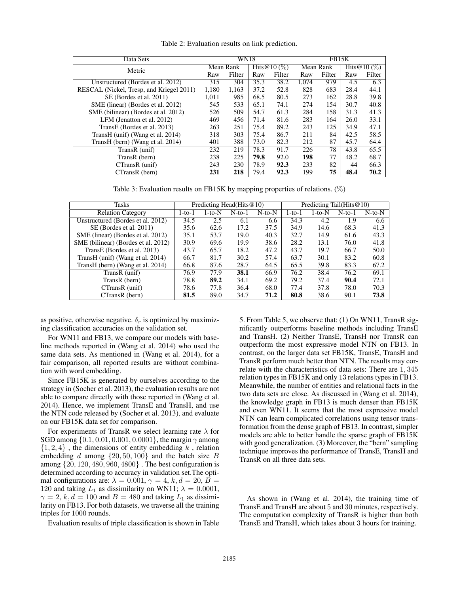| Data Sets                                | <b>WN18</b> |           |      | FB15K           |           |        |                 |        |
|------------------------------------------|-------------|-----------|------|-----------------|-----------|--------|-----------------|--------|
| Metric                                   |             | Mean Rank |      | Hits $@10 (\%)$ | Mean Rank |        | Hits $@10 (\%)$ |        |
|                                          | Raw         | Filter    | Raw  | Filter          | Raw       | Filter | Raw             | Filter |
| Unstructured (Bordes et al. 2012)        | 315         | 304       | 35.3 | 38.2            | 1.074     | 979    | 4.5             | 6.3    |
| RESCAL (Nickel, Tresp, and Kriegel 2011) | 1.180       | 1.163     | 37.2 | 52.8            | 828       | 683    | 28.4            | 44.1   |
| SE (Bordes et al. 2011)                  | 1.011       | 985       | 68.5 | 80.5            | 273       | 162    | 28.8            | 39.8   |
| SME (linear) (Bordes et al. 2012)        | 545         | 533       | 65.1 | 74.1            | 274       | 154    | 30.7            | 40.8   |
| SME (bilinear) (Bordes et al. 2012)      | 526         | 509       | 54.7 | 61.3            | 284       | 158    | 31.3            | 41.3   |
| LFM (Jenatton et al. 2012)               | 469         | 456       | 71.4 | 81.6            | 283       | 164    | 26.0            | 33.1   |
| TransE (Bordes et al. 2013)              | 263         | 251       | 75.4 | 89.2            | 243       | 125    | 34.9            | 47.1   |
| TransH (unif) (Wang et al. 2014)         | 318         | 303       | 75.4 | 86.7            | 211       | 84     | 42.5            | 58.5   |
| TransH (bern) (Wang et al. 2014)         | 401         | 388       | 73.0 | 82.3            | 212       | 87     | 45.7            | 64.4   |
| TransR (unif)                            | 232         | 219       | 78.3 | 91.7            | 226       | 78     | 43.8            | 65.5   |
| TransR (bern)                            | 238         | 225       | 79.8 | 92.0            | 198       | 77     | 48.2            | 68.7   |
| $CTransR$ (unif)                         | 243         | 230       | 78.9 | 92.3            | 233       | 82     | 44              | 66.3   |
| CTransR (bern)                           | 231         | 218       | 79.4 | 92.3            | 199       | 75     | 48.4            | 70.2   |

Table 2: Evaluation results on link prediction.

Table 3: Evaluation results on FB15K by mapping properties of relations.  $(\%)$ 

| Tasks                               |        |          | Predicting Head (Hits $@10$ ) |              | Predicting Tail(Hits $@10$ ) |          |           |              |
|-------------------------------------|--------|----------|-------------------------------|--------------|------------------------------|----------|-----------|--------------|
| <b>Relation Category</b>            | 1-to-1 | $1-to-N$ | $N$ -to- $1$                  | $N$ -to- $N$ | $1-to-1$                     | $1-to-N$ | $N$ -to-1 | $N$ -to- $N$ |
| Unstructured (Bordes et al. 2012)   | 34.5   | 2.5      | 6.1                           | 6.6          | 34.3                         | 4.2      | 1.9       | 6.6          |
| SE (Bordes et al. 2011)             | 35.6   | 62.6     | 17.2                          | 37.5         | 34.9                         | 14.6     | 68.3      | 41.3         |
| SME (linear) (Bordes et al. 2012)   | 35.1   | 53.7     | 19.0                          | 40.3         | 32.7                         | 14.9     | 61.6      | 43.3         |
| SME (bilinear) (Bordes et al. 2012) | 30.9   | 69.6     | 19.9                          | 38.6         | 28.2                         | 13.1     | 76.0      | 41.8         |
| TransE (Bordes et al. 2013)         | 43.7   | 65.7     | 18.2                          | 47.2         | 43.7                         | 19.7     | 66.7      | 50.0         |
| TransH (unif) (Wang et al. 2014)    | 66.7   | 81.7     | 30.2                          | 57.4         | 63.7                         | 30.1     | 83.2      | 60.8         |
| TransH (bern) (Wang et al. 2014)    | 66.8   | 87.6     | 28.7                          | 64.5         | 65.5                         | 39.8     | 83.3      | 67.2         |
| TransR (unif)                       | 76.9   | 77.9     | 38.1                          | 66.9         | 76.2                         | 38.4     | 76.2      | 69.1         |
| TransR (bern)                       | 78.8   | 89.2     | 34.1                          | 69.2         | 79.2                         | 37.4     | 90.4      | 72.1         |
| $CTransR$ (unif)                    | 78.6   | 77.8     | 36.4                          | 68.0         | 77.4                         | 37.8     | 78.0      | 70.3         |
| CTransR (bern)                      | 81.5   | 89.0     | 34.7                          | 71.2         | 80.8                         | 38.6     | 90.1      | 73.8         |

as positive, otherwise negative.  $\delta_r$  is optimized by maximizing classification accuracies on the validation set.

For WN11 and FB13, we compare our models with baseline methods reported in (Wang et al. 2014) who used the same data sets. As mentioned in (Wang et al. 2014), for a fair comparison, all reported results are without combination with word embedding.

Since FB15K is generated by ourselves according to the strategy in (Socher et al. 2013), the evaluation results are not able to compare directly with those reported in (Wang et al. 2014). Hence, we implement TransE and TransH, and use the NTN code released by (Socher et al. 2013), and evaluate on our FB15K data set for comparison.

For experiments of TransR we select learning rate  $\lambda$  for SGD among  $\{0.1, 0.01, 0.001, 0.0001\}$ , the margin  $\gamma$  among  $\{1, 2, 4\}$ , the dimensions of entity embedding k, relation embedding d among  $\{20, 50, 100\}$  and the batch size B among {20, 120, 480, 960, 4800} . The best configuration is determined according to accuracy in validation set.The optimal configurations are:  $\lambda = 0.001$ ,  $\gamma = 4$ ,  $k$ ,  $d = 20$ ,  $B =$ 120 and taking  $L_1$  as dissimilarity on WN11;  $\lambda = 0.0001$ ,  $\gamma = 2$ , k,  $d = 100$  and  $B = 480$  and taking  $L_1$  as dissimilarity on FB13. For both datasets, we traverse all the training triples for 1000 rounds.

Evaluation results of triple classification is shown in Table

5. From Table 5, we observe that: (1) On WN11, TransR significantly outperforms baseline methods including TransE and TransH. (2) Neither TransE, TransH nor TransR can outperform the most expressive model NTN on FB13. In contrast, on the larger data set FB15K, TransE, TransH and TransR perform much better than NTN. The results may correlate with the characteristics of data sets: There are 1, 345 relation types in FB15K and only 13 relations types in FB13. Meanwhile, the number of entities and relational facts in the two data sets are close. As discussed in (Wang et al. 2014), the knowledge graph in FB13 is much denser than FB15K and even WN11. It seems that the most expressive model NTN can learn complicated correlations using tensor transformation from the dense graph of FB13. In contrast, simpler models are able to better handle the sparse graph of FB15K with good generalization. (3) Moreover, the "bern" sampling technique improves the performance of TransE, TransH and TransR on all three data sets.

As shown in (Wang et al. 2014), the training time of TransE and TransH are about 5 and 30 minutes, respectively. The computation complexity of TransR is higher than both TransE and TransH, which takes about 3 hours for training.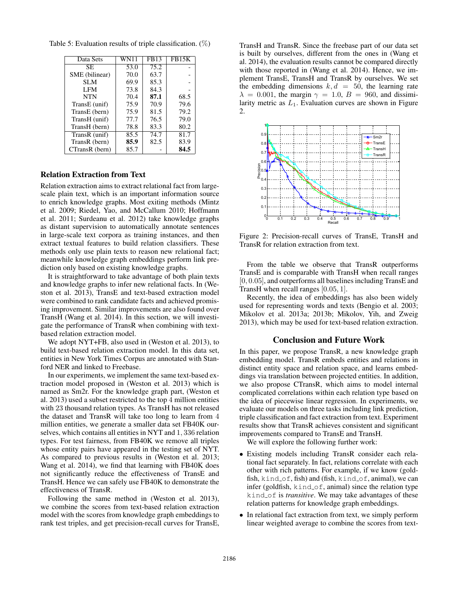| Data Sets      | WN11 | FB13 | FB15K |
|----------------|------|------|-------|
| SE.            | 53.0 | 75.2 |       |
| SME (bilinear) | 70.0 | 63.7 |       |
| SLM            | 69.9 | 85.3 |       |
| LFM            | 73.8 | 84.3 |       |
| <b>NTN</b>     | 70.4 | 87.1 | 68.5  |
| TransE (unif)  | 75.9 | 70.9 | 79.6  |
| TransE (bern)  | 75.9 | 81.5 | 79.2  |
| TransH (unif)  | 77.7 | 76.5 | 79.0  |
| TransH (bern)  | 78.8 | 83.3 | 80.2  |
| TransR (unif)  | 85.5 | 74.7 | 81.7  |
| TransR (bern)  | 85.9 | 82.5 | 83.9  |
| CTransR (bern) | 85.7 |      | 84.5  |

Table 5: Evaluation results of triple classification.  $(\%)$ 

## Relation Extraction from Text

Relation extraction aims to extract relational fact from largescale plain text, which is an important information source to enrich knowledge graphs. Most exiting methods (Mintz et al. 2009; Riedel, Yao, and McCallum 2010; Hoffmann et al. 2011; Surdeanu et al. 2012) take knowledge graphs as distant supervision to automatically annotate sentences in large-scale text corpora as training instances, and then extract textual features to build relation classifiers. These methods only use plain texts to reason new relational fact; meanwhile knowledge graph embeddings perform link prediction only based on existing knowledge graphs.

It is straightforward to take advantage of both plain texts and knowledge graphs to infer new relational facts. In (Weston et al. 2013), TransE and text-based extraction model were combined to rank candidate facts and achieved promising improvement. Similar improvements are also found over TransH (Wang et al. 2014). In this section, we will investigate the performance of TransR when combining with textbased relation extraction model.

We adopt NYT+FB, also used in (Weston et al. 2013), to build text-based relation extraction model. In this data set, entities in New York Times Corpus are annotated with Stanford NER and linked to Freebase.

In our experiments, we implement the same text-based extraction model proposed in (Weston et al. 2013) which is named as Sm2r. For the knowledge graph part, (Weston et al. 2013) used a subset restricted to the top 4 million entities with 23 thousand relation types. As TransH has not released the dataset and TransR will take too long to learn from 4 million entities, we generate a smaller data set FB40K ourselves, which contains all entities in NYT and 1, 336 relation types. For test fairness, from FB40K we remove all triples whose entity pairs have appeared in the testing set of NYT. As compared to previous results in (Weston et al. 2013; Wang et al. 2014), we find that learning with FB40K does not significantly reduce the effectiveness of TransE and TransH. Hence we can safely use FB40K to demonstrate the effectiveness of TransR.

Following the same method in (Weston et al. 2013), we combine the scores from text-based relation extraction model with the scores from knowledge graph embeddings to rank test triples, and get precision-recall curves for TransE,

TransH and TransR. Since the freebase part of our data set is built by ourselves, different from the ones in (Wang et al. 2014), the evaluation results cannot be compared directly with those reported in (Wang et al. 2014). Hence, we implement TransE, TransH and TransR by ourselves. We set the embedding dimensions  $k, d = 50$ , the learning rate  $\lambda = 0.001$ , the margin  $\gamma = 1.0$ ,  $B = 960$ , and dissimilarity metric as  $L_1$ . Evaluation curves are shown in Figure 2.



Figure 2: Precision-recall curves of TransE, TransH and TransR for relation extraction from text.

From the table we observe that TransR outperforms TransE and is comparable with TransH when recall ranges [0, 0.05], and outperforms all baselines including TransE and TransH when recall ranges [0.05, 1].

Recently, the idea of embeddings has also been widely used for representing words and texts (Bengio et al. 2003; Mikolov et al. 2013a; 2013b; Mikolov, Yih, and Zweig 2013), which may be used for text-based relation extraction.

## Conclusion and Future Work

In this paper, we propose TransR, a new knowledge graph embedding model. TransR embeds entities and relations in distinct entity space and relation space, and learns embeddings via translation between projected entities. In addition, we also propose CTransR, which aims to model internal complicated correlations within each relation type based on the idea of piecewise linear regression. In experiments, we evaluate our models on three tasks including link prediction, triple classification and fact extraction from text. Experiment results show that TransR achieves consistent and significant improvements compared to TransE and TransH.

We will explore the following further work:

- Existing models including TransR consider each relational fact separately. In fact, relations correlate with each other with rich patterns. For example, if we know (goldfish, kind of, fish) and (fish, kind of, animal), we can infer (goldfish,  $kind_of$ , animal) since the relation type kind of is *transitive*. We may take advantages of these relation patterns for knowledge graph embeddings.
- In relational fact extraction from text, we simply perform linear weighted average to combine the scores from text-